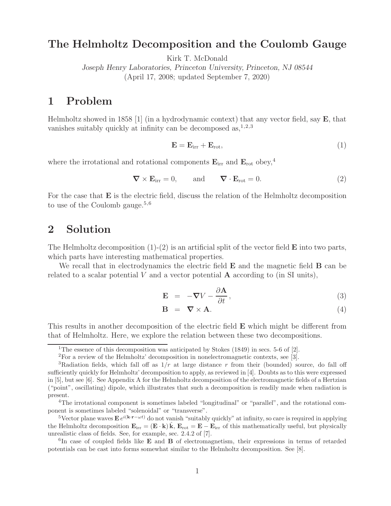### **The Helmholtz Decomposition and the Coulomb Gauge**

Kirk T. McDonald

*Joseph Henry Laboratories, Princeton University, Princeton, NJ 08544* (April 17, 2008; updated September 7, 2020)

## **1 Problem**

Helmholtz showed in 1858 [1] (in a hydrodynamic context) that any vector field, say **E**, that vanishes suitably quickly at infinity can be decomposed as,  $1,2,3$ 

$$
\mathbf{E} = \mathbf{E}_{irr} + \mathbf{E}_{rot},\tag{1}
$$

where the irrotational and rotational components  $\mathbf{E}_{irr}$  and  $\mathbf{E}_{rot}$  obey,<sup>4</sup>

$$
\nabla \times \mathbf{E}_{irr} = 0, \quad \text{and} \quad \nabla \cdot \mathbf{E}_{rot} = 0.
$$
 (2)

For the case that **E** is the electric field, discuss the relation of the Helmholtz decomposition to use of the Coulomb gauge.<sup>5,6</sup>

#### **2 Solution**

The Helmholtz decomposition (1)-(2) is an artificial split of the vector field **E** into two parts, which parts have interesting mathematical properties.

We recall that in electrodynamics the electric field **E** and the magnetic field **B** can be related to a scalar potential  $V$  and a vector potential  $\bf{A}$  according to (in SI units),

$$
\mathbf{E} = -\nabla V - \frac{\partial \mathbf{A}}{\partial t}, \qquad (3)
$$

$$
\mathbf{B} = \nabla \times \mathbf{A}.\tag{4}
$$

This results in another decomposition of the electric field **E** which might be different from that of Helmholtz. Here, we explore the relation between these two decompositions.

<sup>&</sup>lt;sup>1</sup>The essence of this decomposition was anticipated by Stokes (1849) in secs. 5-6 of [2].

<sup>2</sup>For a review of the Helmholtz' decomposition in nonelectromagnetic contexts, see [3].

<sup>&</sup>lt;sup>3</sup>Radiation fields, which fall off as  $1/r$  at large distance r from their (bounded) source, do fall off sufficiently quickly for Helmholtz' decomposition to apply, as reviewed in [4]. Doubts as to this were expressed in [5], but see [6]. See Appendix A for the Helmholtz decomposition of the electromagnetic fields of a Hertzian ("point", oscillating) dipole, which illustrates that such a decomposition is readily made when radiation is present.

<sup>4</sup>The irrotational component is sometimes labeled "longitudinal" or "parallel", and the rotational component is sometimes labeled "solenoidal" or "transverse".

<sup>&</sup>lt;sup>5</sup>Vector plane waves **E**  $e^{i(k \cdot \mathbf{r} - \omega t)}$  do not vanish "suitably quickly" at infinity, so care is required in applying the Helmholtz decomposition  $\mathbf{E}_{irr} = (\mathbf{E} \cdot \mathbf{k}) \hat{\mathbf{k}}$ ,  $\mathbf{E}_{rot} = \mathbf{E} - \mathbf{E}_{irr}$  of this mathematically useful, but physically unrealistic class of fields. See, for example, sec. 2.4.2 of [7].

<sup>6</sup>In case of coupled fields like **E** and **B** of electromagnetism, their expressions in terms of retarded potentials can be cast into forms somewhat similar to the Helmholtz decomposition. See [8].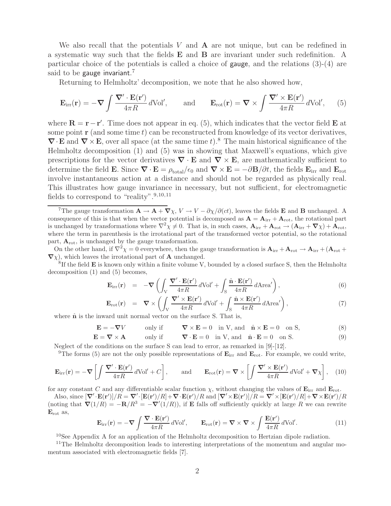We also recall that the potentials V and **A** are not unique, but can be redefined in a systematic way such that the fields **E** and **B** are invariant under such redefinition. A particular choice of the potentials is called a choice of gauge, and the relations (3)-(4) are said to be gauge invariant.<sup>7</sup>

Returning to Helmholtz' decomposition, we note that he also showed how,

$$
\mathbf{E}_{irr}(\mathbf{r}) = -\nabla \int \frac{\nabla' \cdot \mathbf{E}(\mathbf{r}')}{4\pi R} d\mathrm{Vol}', \quad \text{and} \quad \mathbf{E}_{rot}(\mathbf{r}) = \nabla \times \int \frac{\nabla' \times \mathbf{E}(\mathbf{r}')}{4\pi R} d\mathrm{Vol}', \quad (5)
$$

where  $\mathbf{R} = \mathbf{r} - \mathbf{r}'$ . Time does not appear in eq. (5), which indicates that the vector field  $\mathbf{E}$  at some point  $\mathbf r$  (and some time t) can be reconstructed from knowledge of its vector derivatives,  $\nabla \cdot \mathbf{E}$  and  $\nabla \times \mathbf{E}$ , over all space (at the same time t).<sup>8</sup> The main historical significance of the Helmholtz decomposition (1) and (5) was in showing that Maxwell's equations, which give prescriptions for the vector derivatives  $\nabla \cdot \mathbf{E}$  and  $\nabla \times \mathbf{E}$ , are mathematically sufficient to determine the field **E**. Since  $\nabla \cdot \mathbf{E} = \rho_{\text{total}}/\epsilon_0$  and  $\nabla \times \mathbf{E} = -\partial \mathbf{B}/\partial t$ , the fields  $\mathbf{E}_{irr}$  and  $\mathbf{E}_{rot}$ involve instantaneous action at a distance and should not be regarded as physically real. This illustrates how gauge invariance in necessary, but not sufficient, for electromagnetic fields to correspond to "reality".  $9,10,11$ 

On the other hand, if  $\nabla^2 \chi = 0$  everywhere, then the gauge transformation is  $\mathbf{A}_{irr} + \mathbf{A}_{rot} \to \mathbf{A}_{irr} + (\mathbf{A}_{rot} + \mathbf{A}_{rot})$  $\nabla \chi$ , which leaves the irrotational part of **A** unchanged.

<sup>8</sup>If the field **E** is known only within a finite volume V, bounded by a closed surface S, then the Helmholtz decomposition (1) and (5) becomes,

$$
\mathbf{E}_{irr}(\mathbf{r}) = -\nabla \left( \int_{V} \frac{\nabla' \cdot \mathbf{E}(\mathbf{r}')}{4\pi R} d\text{Vol}' + \int_{S} \frac{\hat{\mathbf{n}} \cdot \mathbf{E}(\mathbf{r}')}{4\pi R} d\text{Area}' \right),\tag{6}
$$

$$
\mathbf{E}_{\rm rot}(\mathbf{r}) = \nabla \times \left( \int_{V} \frac{\nabla' \times \mathbf{E}(\mathbf{r}')}{4\pi R} d\text{Vol}' + \int_{S} \frac{\hat{\mathbf{n}} \times \mathbf{E}(\mathbf{r}')}{4\pi R} d\text{Area}' \right),\tag{7}
$$

where  $\hat{\mathbf{n}}$  is the inward unit normal vector on the surface S. That is,

 $\mathbf{E} = -\nabla V$  only if  $\nabla \times \mathbf{E} = 0$  in V, and  $\hat{\mathbf{n}} \times \mathbf{E} = 0$  on S, (8)

$$
\mathbf{E} = \nabla \times \mathbf{A} \qquad \text{only if} \qquad \nabla \cdot \mathbf{E} = 0 \quad \text{in V, and} \quad \hat{\mathbf{n}} \cdot \mathbf{E} = 0 \quad \text{on S.} \tag{9}
$$

Neglect of the conditions on the surface S can lead to error, as remarked in [9]-[12].

<sup>9</sup>The forms (5) are not the only possible representations of  $\mathbf{E}_{irr}$  and  $\mathbf{E}_{rot}$ . For example, we could write,

$$
\mathbf{E}_{irr}(\mathbf{r}) = -\nabla \left[ \int \frac{\nabla' \cdot \mathbf{E}(\mathbf{r}')}{4\pi R} d\text{Vol}' + C \right], \quad \text{and} \quad \mathbf{E}_{rot}(\mathbf{r}) = \nabla \times \left[ \int \frac{\nabla' \times \mathbf{E}(\mathbf{r}')}{4\pi R} d\text{Vol}' + \nabla \chi \right], \quad (10)
$$

for any constant C and any differentiable scalar function  $\chi$ , without changing the values of  $\mathbf{E}_{irr}$  and  $\mathbf{E}_{rot}$ .

Also, since  $[\nabla' \cdot \mathbf{E}(\mathbf{r}')] / R = \nabla' \cdot [\mathbf{E}(\mathbf{r}')/R] + \nabla \cdot \mathbf{E}(\mathbf{r}')/R$  and  $[\nabla' \times \mathbf{E}(\mathbf{r}')]/R = \nabla' \times [\mathbf{E}(\mathbf{r}')/R] + \nabla \times \mathbf{E}(\mathbf{r}')/R$ (noting that  $\mathbf{\nabla}(1/R) = -\mathbf{R}/R^3 = -\mathbf{\nabla}'(1/R)$ ), if **E** falls off sufficiently quickly at large R we can rewrite **E**rot as,

$$
\mathbf{E}_{irr}(\mathbf{r}) = -\nabla \int \frac{\nabla \cdot \mathbf{E}(\mathbf{r}')}{4\pi R} d\text{Vol}', \qquad \mathbf{E}_{rot}(\mathbf{r}) = \nabla \times \nabla \times \int \frac{\mathbf{E}(\mathbf{r}')}{4\pi R} d\text{Vol}'. \tag{11}
$$

<sup>10</sup>See Appendix A for an application of the Helmholtz decomposition to Hertzian dipole radiation.

<sup>11</sup>The Helmholtz decomposition leads to interesting interpretations of the momentum and angular momentum associated with electromagnetic fields [7].

<sup>&</sup>lt;sup>7</sup>The gauge transformation  $\mathbf{A} \to \mathbf{A} + \nabla \chi$ ,  $V \to V - \partial \chi / \partial(ct)$ , leaves the fields **E** and **B** unchanged. A consequence of this is that when the vector potential is decomposed as  $\mathbf{A} = \mathbf{A}_{irr} + \mathbf{A}_{rot}$ , the rotational part is unchanged by transformations where  $\nabla^2 \chi \neq 0$ . That is, in such cases,  $\mathbf{A}_{irr} + \mathbf{A}_{rot} \rightarrow (\mathbf{A}_{irr} + \nabla \chi) + \mathbf{A}_{rot}$ , where the term in parenthesis is the irrotational part of the transformed vector potential, so the rotational part, **A**rot, is unchanged by the gauge transformation.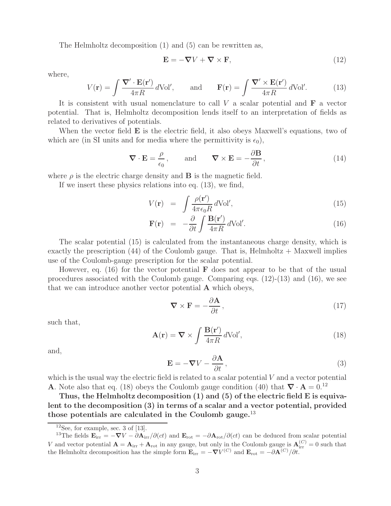The Helmholtz decomposition (1) and (5) can be rewritten as,

$$
\mathbf{E} = -\nabla V + \nabla \times \mathbf{F},\tag{12}
$$

where,

$$
V(\mathbf{r}) = \int \frac{\nabla' \cdot \mathbf{E}(\mathbf{r}')}{4\pi R} d\text{Vol}', \quad \text{and} \quad \mathbf{F}(\mathbf{r}) = \int \frac{\nabla' \times \mathbf{E}(\mathbf{r}')}{4\pi R} d\text{Vol}'. \tag{13}
$$

It is consistent with usual nomenclature to call V a scalar potential and **F** a vector potential. That is, Helmholtz decomposition lends itself to an interpretation of fields as related to derivatives of potentials.

When the vector field **E** is the electric field, it also obeys Maxwell's equations, two of which are (in SI units and for media where the permittivity is  $\epsilon_0$ ),

$$
\nabla \cdot \mathbf{E} = \frac{\rho}{\epsilon_0}, \quad \text{and} \quad \nabla \times \mathbf{E} = -\frac{\partial \mathbf{B}}{\partial t}, \tag{14}
$$

where  $\rho$  is the electric charge density and **B** is the magnetic field.

If we insert these physics relations into eq. (13), we find,

$$
V(\mathbf{r}) = \int \frac{\rho(\mathbf{r}')}{4\pi\epsilon_0 R} d\text{Vol}',\tag{15}
$$

$$
\mathbf{F}(\mathbf{r}) = -\frac{\partial}{\partial t} \int \frac{\mathbf{B}(\mathbf{r}')}{4\pi R} d\text{Vol}'. \qquad (16)
$$

The scalar potential (15) is calculated from the instantaneous charge density, which is exactly the prescription  $(44)$  of the Coulomb gauge. That is, Helmholtz + Maxwell implies use of the Coulomb-gauge prescription for the scalar potential.

However, eq. (16) for the vector potential **F** does not appear to be that of the usual procedures associated with the Coulomb gauge. Comparing eqs. (12)-(13) and (16), we see that we can introduce another vector potential **A** which obeys,

$$
\nabla \times \mathbf{F} = -\frac{\partial \mathbf{A}}{\partial t},\qquad(17)
$$

such that,

$$
\mathbf{A}(\mathbf{r}) = \nabla \times \int \frac{\mathbf{B}(\mathbf{r}')}{4\pi R} d\text{Vol}',\tag{18}
$$

and,

$$
\mathbf{E} = -\nabla V - \frac{\partial \mathbf{A}}{\partial t},\tag{3}
$$

which is the usual way the electric field is related to a scalar potential  $V$  and a vector potential **A**. Note also that eq. (18) obeys the Coulomb gauge condition (40) that  $\nabla \cdot \mathbf{A} = 0^{12}$ 

**Thus, the Helmholtz decomposition (1) and (5) of the electric field E is equivalent to the decomposition (3) in terms of a scalar and a vector potential, provided those potentials are calculated in the Coulomb gauge.**<sup>13</sup>

 $12$ See, for example, sec. 3 of [13].

<sup>&</sup>lt;sup>13</sup>The fields  $\mathbf{E}_{irr} = -\nabla V - \partial \mathbf{A}_{irr}/\partial(ct)$  and  $\mathbf{E}_{rot} = -\partial \mathbf{A}_{rot}/\partial(ct)$  can be deduced from scalar potential V and vector potential  $\mathbf{A} = \mathbf{A}_{irr} + \mathbf{A}_{rot}$  in any gauge, but only in the Coulomb gauge is  $\mathbf{A}_{irr}^{(C)} = 0$  such that the Helmholtz decomposition has the simple form  $\mathbf{E}_{irr} = -\nabla V^{(C)}$  and  $\mathbf{E}_{rot} = -\partial \mathbf{A}^{(C)}/\partial t$ .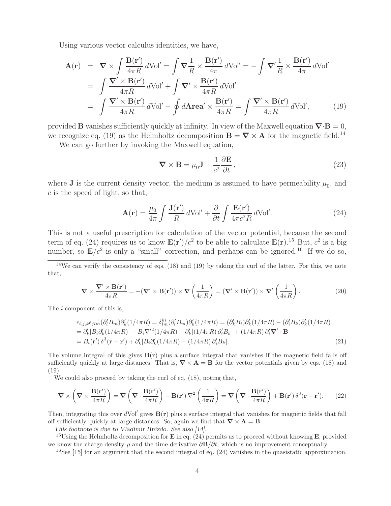Using various vector calculus identities, we have,

$$
\mathbf{A}(\mathbf{r}) = \nabla \times \int \frac{\mathbf{B}(\mathbf{r}')}{4\pi R} d\text{Vol}' = \int \nabla \frac{1}{R} \times \frac{\mathbf{B}(\mathbf{r}')}{4\pi} d\text{Vol}' = -\int \nabla' \frac{1}{R} \times \frac{\mathbf{B}(\mathbf{r}')}{4\pi} d\text{Vol}'
$$
\n
$$
= \int \frac{\nabla' \times \mathbf{B}(\mathbf{r}')}{4\pi R} d\text{Vol}' + \int \nabla' \times \frac{\mathbf{B}(\mathbf{r}')}{4\pi R} d\text{Vol}'
$$
\n
$$
= \int \frac{\nabla' \times \mathbf{B}(\mathbf{r}')}{4\pi R} d\text{Vol}' - \oint d\text{Area}' \times \frac{\mathbf{B}(\mathbf{r}')}{4\pi R} = \int \frac{\nabla' \times \mathbf{B}(\mathbf{r}')}{4\pi R} d\text{Vol}', \qquad (19)
$$

provided **B** vanishes sufficiently quickly at infinity. In view of the Maxwell equation  $\nabla \cdot \mathbf{B} = 0$ , we recognize eq. (19) as the Helmholtz decomposition  $\mathbf{B} = \nabla \times \mathbf{A}$  for the magnetic field.<sup>14</sup>

We can go further by invoking the Maxwell equation,

$$
\nabla \times \mathbf{B} = \mu_0 \mathbf{J} + \frac{1}{c^2} \frac{\partial \mathbf{E}}{\partial t},
$$
\n(23)

where **J** is the current density vector, the medium is assumed to have permeability  $\mu_0$ , and  $c$  is the speed of light, so that,

$$
\mathbf{A}(\mathbf{r}) = \frac{\mu_0}{4\pi} \int \frac{\mathbf{J}(\mathbf{r}')}{R} d\mathrm{Vol}' + \frac{\partial}{\partial t} \int \frac{\mathbf{E}(\mathbf{r}')}{4\pi c^2 R} d\mathrm{Vol}'. \tag{24}
$$

This is not a useful prescription for calculation of the vector potential, because the second term of eq. (24) requires us to know  $\mathbf{E}(\mathbf{r}')/c^2$  to be able to calculate  $\mathbf{E}(\mathbf{r})$ .<sup>15</sup> But,  $c^2$  is a big number, so  $\mathbf{E}/c^2$  is only a "small" correction, and perhaps can be ignored.<sup>16</sup> If we do so,

 $14$ We can verify the consistency of eqs. (18) and (19) by taking the curl of the latter. For this, we note that,

$$
\nabla \times \frac{\nabla' \times \mathbf{B}(\mathbf{r}')}{4\pi R} = -(\nabla' \times \mathbf{B}(\mathbf{r}')) \times \nabla \left(\frac{1}{4\pi R}\right) = (\nabla' \times \mathbf{B}(\mathbf{r}')) \times \nabla' \left(\frac{1}{4\pi R}\right). \tag{20}
$$

The i-component of this is,

$$
\epsilon_{i,j,k}\epsilon_{jlm}(\partial_l'B_m)\partial_k'(1/4\pi R) = \delta_{lm}^{ki}(\partial_l'B_m)\partial_k'(1/4\pi R) = (\partial_k'B_i)\partial_k'(1/4\pi R) - (\partial_i'B_k)\partial_k'(1/4\pi R)
$$
  
\n
$$
= \partial_k'[B_i\partial_k'(1/4\pi R)] - B_i\nabla'^2(1/4\pi R) - \partial_k'[(1/4\pi R)\partial_i'B_k] + (1/4\pi R)\partial_i'\nabla' \cdot \mathbf{B}
$$
  
\n
$$
= B_i(\mathbf{r}')\delta^3(\mathbf{r} - \mathbf{r}') + \partial_k'[B_i\partial_k(1/4\pi R) - (1/4\pi R)\partial_i'B_k].
$$
\n(21)

The volume integral of this gives  $B(r)$  plus a surface integral that vanishes if the magnetic field falls off sufficiently quickly at large distances. That is,  $\nabla \times \mathbf{A} = \mathbf{B}$  for the vector potentials given by eqs. (18) and (19).

We could also proceed by taking the curl of eq.  $(18)$ , noting that,

$$
\nabla \times \left( \nabla \times \frac{\mathbf{B}(\mathbf{r}')}{4\pi R} \right) = \nabla \left( \nabla \cdot \frac{\mathbf{B}(\mathbf{r}')}{4\pi R} \right) - \mathbf{B}(\mathbf{r}') \nabla^2 \left( \frac{1}{4\pi R} \right) = \nabla \left( \nabla \cdot \frac{\mathbf{B}(\mathbf{r}')}{4\pi R} \right) + \mathbf{B}(\mathbf{r}') \delta^3 (\mathbf{r} - \mathbf{r}'). \tag{22}
$$

Then, integrating this over  $dVol'$  gives  $B(r)$  plus a surface integral that vanishes for magnetic fields that fall off sufficiently quickly at large distances. So, again we find that  $\nabla \times \mathbf{A} = \mathbf{B}$ .

*This footnote is due to Vladimir Hnizdo. See also [14].*

<sup>15</sup>Using the Helmholtz decomposition for **E** in eq. (24) permits us to proceed without knowing **E**, provided we know the charge density  $\rho$  and the time derivative  $\partial \mathbf{B}/\partial t$ , which is no improvement conceptually.

 $16$ See [15] for an argument that the second integral of eq. (24) vanishes in the quasistatic approximation.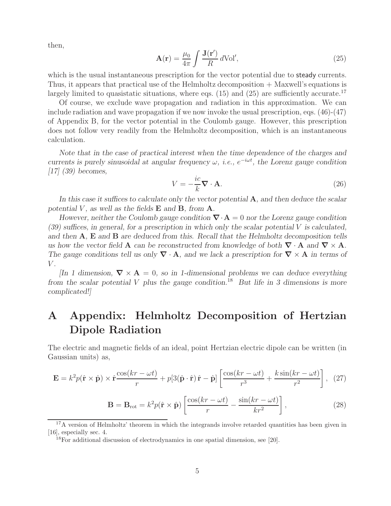then,

$$
\mathbf{A}(\mathbf{r}) = \frac{\mu_0}{4\pi} \int \frac{\mathbf{J}(\mathbf{r}')}{R} d\text{Vol}',\tag{25}
$$

which is the usual instantaneous prescription for the vector potential due to **steady** currents. Thus, it appears that practical use of the Helmholtz decomposition + Maxwell's equations is largely limited to quasistatic situations, where eqs. (15) and (25) are sufficiently accurate.<sup>17</sup>

Of course, we exclude wave propagation and radiation in this approximation. We can include radiation and wave propagation if we now invoke the usual prescription, eqs. (46)-(47) of Appendix B, for the vector potential in the Coulomb gauge. However, this prescription does not follow very readily from the Helmholtz decomposition, which is an instantaneous calculation.

*Note that in the case of practical interest when the time dependence of the charges and currents is purely sinusoidal at angular frequency*  $\omega$ *, <i>i.e.*,  $e^{-i\omega t}$ *, the Lorenz gauge condition [17] (39) becomes,*

$$
V = -\frac{ic}{k}\nabla \cdot \mathbf{A}.\tag{26}
$$

*In this case it suffices to calculate only the vector potential* **A***, and then deduce the scalar potential*  $V$ *, as well as the fields*  $E$  *and*  $B$ *, from*  $A$ *.* 

*However, neither the Coulomb gauge condition ∇*·**A** = 0 *nor the Lorenz gauge condition (39) suffices, in general, for a prescription in which only the scalar potential* V *is calculated, and then* **A***,* **E** *and* **B** *are deduced from this. Recall that the Helmholtz decomposition tells us how the vector field* **A** *can be reconstructed from knowledge of both*  $\nabla \cdot$  **A** *and*  $\nabla \times$  **A***. The gauge conditions tell us only ∇* · **A***, and we lack a prescription for ∇* × **A** *in terms of* V *.*

*[In 1 dimension,*  $\nabla \times \mathbf{A} = 0$ , so in 1-dimensional problems we can deduce everything *from the scalar potential* V *plus the gauge condition.*<sup>18</sup> *But life in 3 dimensions is more complicated!]*

# **A Appendix: Helmholtz Decomposition of Hertzian Dipole Radiation**

The electric and magnetic fields of an ideal, point Hertzian electric dipole can be written (in Gaussian units) as,

$$
\mathbf{E} = k^2 p(\hat{\mathbf{r}} \times \hat{\mathbf{p}}) \times \hat{\mathbf{r}} \frac{\cos(kr - \omega t)}{r} + p[3(\hat{\mathbf{p}} \cdot \hat{\mathbf{r}}) \hat{\mathbf{r}} - \hat{\mathbf{p}}] \left[ \frac{\cos(kr - \omega t)}{r^3} + \frac{k \sin(kr - \omega t)}{r^2} \right], \tag{27}
$$

$$
\mathbf{B} = \mathbf{B}_{\rm rot} = k^2 p(\hat{\mathbf{r}} \times \hat{\mathbf{p}}) \left[ \frac{\cos(kr - \omega t)}{r} - \frac{\sin(kr - \omega t)}{kr^2} \right],\tag{28}
$$

<sup>17</sup>A version of Helmholtz' theorem in which the integrands involve retarded quantities has been given in [16], especially sec. 4.

 $18$ For additional discussion of electrodynamics in one spatial dimension, see [20].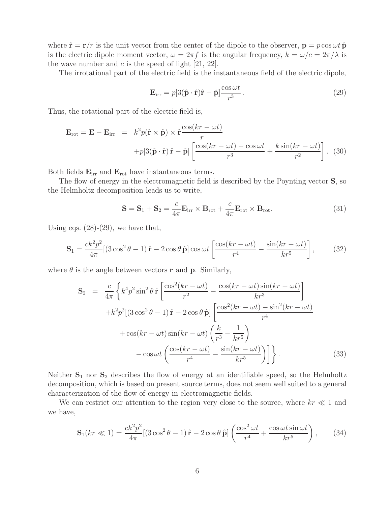where  $\hat{\mathbf{r}} = \mathbf{r}/r$  is the unit vector from the center of the dipole to the observer,  $\mathbf{p} = p \cos \omega t \hat{\mathbf{p}}$ is the electric dipole moment vector,  $\omega = 2\pi f$  is the angular frequency,  $k = \omega/c = 2\pi/\lambda$  is the wave number and  $c$  is the speed of light [21, 22].

The irrotational part of the electric field is the instantaneous field of the electric dipole,

$$
\mathbf{E}_{irr} = p[3(\hat{\mathbf{p}} \cdot \hat{\mathbf{r}})\hat{\mathbf{r}} - \hat{\mathbf{p}}] \frac{\cos \omega t}{r^3}.
$$
 (29)

Thus, the rotational part of the electric field is,

$$
\mathbf{E}_{\rm rot} = \mathbf{E} - \mathbf{E}_{\rm irr} = k^2 p(\hat{\mathbf{r}} \times \hat{\mathbf{p}}) \times \hat{\mathbf{r}} \frac{\cos(kr - \omega t)}{r} + p[3(\hat{\mathbf{p}} \cdot \hat{\mathbf{r}}) \hat{\mathbf{r}} - \hat{\mathbf{p}}] \left[ \frac{\cos(kr - \omega t) - \cos \omega t}{r^3} + \frac{k \sin(kr - \omega t)}{r^2} \right]. \tag{30}
$$

Both fields **E**irr and **E**rot have instantaneous terms.

The flow of energy in the electromagnetic field is described by the Poynting vector **S**, so the Helmholtz decomposition leads us to write,

$$
\mathbf{S} = \mathbf{S}_1 + \mathbf{S}_2 = \frac{c}{4\pi} \mathbf{E}_{irr} \times \mathbf{B}_{rot} + \frac{c}{4\pi} \mathbf{E}_{rot} \times \mathbf{B}_{rot}.
$$
 (31)

Using eqs.  $(28)-(29)$ , we have that,

$$
\mathbf{S}_1 = \frac{ck^2p^2}{4\pi} [(3\cos^2\theta - 1)\hat{\mathbf{r}} - 2\cos\theta\hat{\mathbf{p}}] \cos\omega t \left[ \frac{\cos(kr - \omega t)}{r^4} - \frac{\sin(kr - \omega t)}{kr^5} \right],\tag{32}
$$

where  $\theta$  is the angle between vectors **r** and **p**. Similarly,

$$
\mathbf{S}_{2} = \frac{c}{4\pi} \left\{ k^{4} p^{2} \sin^{2} \theta \hat{\mathbf{r}} \left[ \frac{\cos^{2}(kr - \omega t)}{r^{2}} - \frac{\cos(kr - \omega t) \sin(kr - \omega t)}{kr^{3}} \right] + k^{2} p^{2} [(3 \cos^{2} \theta - 1) \hat{\mathbf{r}} - 2 \cos \theta \hat{\mathbf{p}}] \left[ \frac{\cos^{2}(kr - \omega t) - \sin^{2}(kr - \omega t)}{r^{4}} \right] + \cos(kr - \omega t) \sin(kr - \omega t) \left( \frac{k}{r^{3}} - \frac{1}{kr^{5}} \right) - \cos \omega t \left( \frac{\cos(kr - \omega t)}{r^{4}} - \frac{\sin(kr - \omega t)}{kr^{5}} \right) \right\}.
$$
 (33)

Neither  $S_1$  nor  $S_2$  describes the flow of energy at an identifiable speed, so the Helmholtz decomposition, which is based on present source terms, does not seem well suited to a general characterization of the flow of energy in electromagnetic fields.

We can restrict our attention to the region very close to the source, where  $kr \ll 1$  and we have,

$$
\mathbf{S}_1(kr \ll 1) = \frac{ck^2p^2}{4\pi} [(3\cos^2\theta - 1)\hat{\mathbf{r}} - 2\cos\theta \hat{\mathbf{p}}] \left( \frac{\cos^2\omega t}{r^4} + \frac{\cos\omega t \sin\omega t}{kr^5} \right), \quad (34)
$$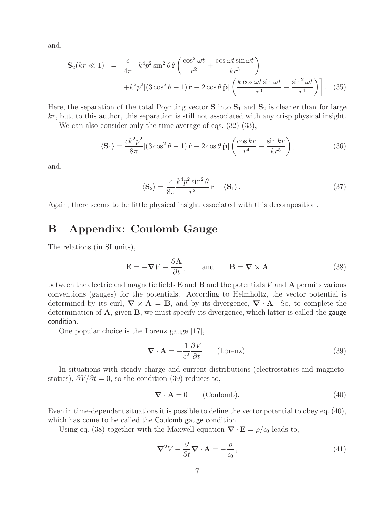and,

$$
\mathbf{S}_2(kr \ll 1) = \frac{c}{4\pi} \left[ k^4 p^2 \sin^2 \theta \, \hat{\mathbf{r}} \left( \frac{\cos^2 \omega t}{r^2} + \frac{\cos \omega t \sin \omega t}{kr^3} \right) + k^2 p^2 \left[ (3\cos^2 \theta - 1) \, \hat{\mathbf{r}} - 2\cos \theta \, \hat{\mathbf{p}} \right] \left( \frac{k \cos \omega t \sin \omega t}{r^3} - \frac{\sin^2 \omega t}{r^4} \right) \right]. \tag{35}
$$

Here, the separation of the total Poynting vector  $S$  into  $S_1$  and  $S_2$  is cleaner than for large kr, but, to this author, this separation is still not associated with any crisp physical insight.

We can also consider only the time average of eqs.  $(32)$ - $(33)$ ,

$$
\langle \mathbf{S}_1 \rangle = \frac{ck^2 p^2}{8\pi} [(3\cos^2\theta - 1)\,\hat{\mathbf{r}} - 2\cos\theta\,\hat{\mathbf{p}}] \left( \frac{\cos kr}{r^4} - \frac{\sin kr}{kr^5} \right),\tag{36}
$$

and,

$$
\langle \mathbf{S}_2 \rangle = \frac{c}{8\pi} \frac{k^4 p^2 \sin^2 \theta}{r^2} \hat{\mathbf{r}} - \langle \mathbf{S}_1 \rangle. \tag{37}
$$

Again, there seems to be little physical insight associated with this decomposition.

## **B Appendix: Coulomb Gauge**

The relations (in SI units),

$$
\mathbf{E} = -\nabla V - \frac{\partial \mathbf{A}}{\partial t}, \quad \text{and} \quad \mathbf{B} = \nabla \times \mathbf{A}
$$
 (38)

between the electric and magnetic fields **E** and **B** and the potentials V and **A** permits various conventions (gauges) for the potentials. According to Helmholtz, the vector potential is determined by its curl,  $\nabla \times \mathbf{A} = \mathbf{B}$ , and by its divergence,  $\nabla \cdot \mathbf{A}$ . So, to complete the determination of **A**, given **B**, we must specify its divergence, which latter is called the gauge condition.

One popular choice is the Lorenz gauge [17],

$$
\nabla \cdot \mathbf{A} = -\frac{1}{c^2} \frac{\partial V}{\partial t} \qquad \text{(Lorenz)}.
$$
 (39)

In situations with steady charge and current distributions (electrostatics and magnetostatics),  $\partial V/\partial t = 0$ , so the condition (39) reduces to,

$$
\nabla \cdot \mathbf{A} = 0 \qquad \text{(Coulomb)}.
$$
 (40)

Even in time-dependent situations it is possible to define the vector potential to obey eq. (40), which has come to be called the **Coulomb** gauge condition.

Using eq. (38) together with the Maxwell equation  $\nabla \cdot \mathbf{E} = \rho/\epsilon_0$  leads to,

$$
\nabla^2 V + \frac{\partial}{\partial t} \nabla \cdot \mathbf{A} = -\frac{\rho}{\epsilon_0},\tag{41}
$$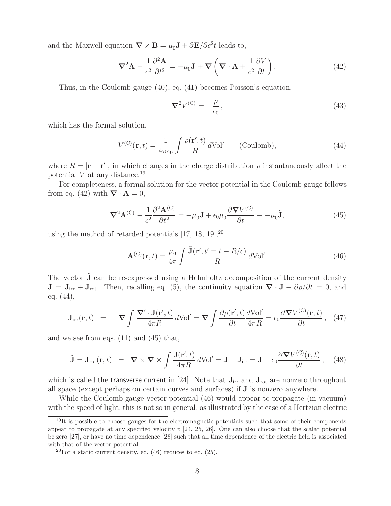and the Maxwell equation  $\nabla \times \mathbf{B} = \mu_0 \mathbf{J} + \partial \mathbf{E}/\partial c^2 t$  leads to,

$$
\nabla^2 \mathbf{A} - \frac{1}{c^2} \frac{\partial^2 \mathbf{A}}{\partial t^2} = -\mu_0 \mathbf{J} + \nabla \left( \nabla \cdot \mathbf{A} + \frac{1}{c^2} \frac{\partial V}{\partial t} \right).
$$
 (42)

Thus, in the Coulomb gauge (40), eq. (41) becomes Poisson's equation,

$$
\nabla^2 V^{(\mathcal{C})} = -\frac{\rho}{\epsilon_0},\tag{43}
$$

which has the formal solution,

$$
V^{(C)}(\mathbf{r},t) = \frac{1}{4\pi\epsilon_0} \int \frac{\rho(\mathbf{r}',t)}{R} d\text{Vol}' \qquad \text{(Coulomb)},\tag{44}
$$

where  $R = |\mathbf{r} - \mathbf{r}'|$ , in which changes in the charge distribution  $\rho$  instantaneously affect the potential  $V$  at any distance.<sup>19</sup>

For completeness, a formal solution for the vector potential in the Coulomb gauge follows from eq. (42) with  $\nabla \cdot \mathbf{A} = 0$ ,

$$
\nabla^2 \mathbf{A}^{(C)} - \frac{1}{c^2} \frac{\partial^2 \mathbf{A}^{(C)}}{\partial t^2} = -\mu_0 \mathbf{J} + \epsilon_0 \mu_0 \frac{\partial \nabla V^{(C)}}{\partial t} \equiv -\mu_0 \tilde{\mathbf{J}},\tag{45}
$$

using the method of retarded potentials  $[17, 18, 19]$ ,<sup>20</sup>

$$
\mathbf{A}^{(C)}(\mathbf{r},t) = \frac{\mu_0}{4\pi} \int \frac{\tilde{\mathbf{J}}(\mathbf{r}',t'=t-R/c)}{R} d\text{Vol}'. \tag{46}
$$

The vector  $\tilde{J}$  can be re-expressed using a Helmholtz decomposition of the current density  $J = J<sub>irr</sub> + J<sub>rot</sub>$ . Then, recalling eq. (5), the continuity equation  $\nabla \cdot J + \partial \rho / \partial t = 0$ , and eq. (44),

$$
\mathbf{J}_{irr}(\mathbf{r},t) = -\nabla \int \frac{\nabla' \cdot \mathbf{J}(\mathbf{r}',t)}{4\pi R} d\text{Vol}' = \nabla \int \frac{\partial \rho(\mathbf{r}',t)}{\partial t} \frac{d\text{Vol}'}{4\pi R} = \epsilon_0 \frac{\partial \nabla V^{(\text{C})}(\mathbf{r},t)}{\partial t}, \quad (47)
$$

and we see from eqs. (11) and (45) that,

$$
\tilde{\mathbf{J}} = \mathbf{J}_{\rm rot}(\mathbf{r}, t) = \nabla \times \nabla \times \int \frac{\mathbf{J}(\mathbf{r}', t)}{4\pi R} d\text{Vol}' = \mathbf{J} - \mathbf{J}_{\rm irr} = \mathbf{J} - \epsilon_0 \frac{\partial \nabla V^{(\rm C)}(\mathbf{r}, t)}{\partial t}, \quad (48)
$$

which is called the transverse current in [24]. Note that  $J_{irr}$  and  $J_{rot}$  are nonzero throughout all space (except perhaps on certain curves and surfaces) if **J** is nonzero anywhere.

While the Coulomb-gauge vector potential (46) would appear to propagate (in vacuum) with the speed of light, this is not so in general, as illustrated by the case of a Hertzian electric

 $19$ It is possible to choose gauges for the electromagnetic potentials such that some of their components appear to propagate at any specified velocity  $v$  [24, 25, 26]. One can also choose that the scalar potential be zero [27], or have no time dependence [28] such that all time dependence of the electric field is associated with that of the vector potential.

 $^{20}$ For a static current density, eq. (46) reduces to eq. (25).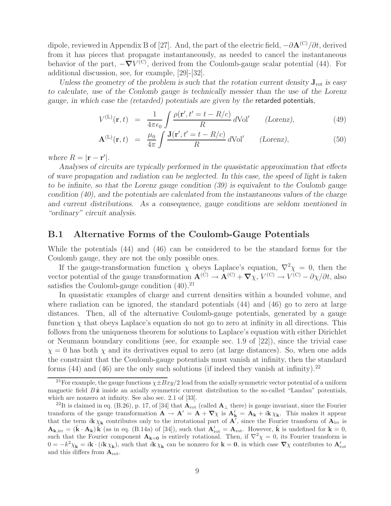dipole, reviewed in Appendix B of [27]. And, the part of the electric field, <sup>−</sup>∂**A**(C)/∂t, derived from it has pieces that propagate instantaneously, as needed to cancel the instantaneous behavior of the part,  $-\nabla V^{(C)}$ , derived from the Coulomb-gauge scalar potential (44). For additional discussion, see, for example, [29]-[32].

*Unless the geometry of the problem is such that the rotation current density*  $J_{\text{rot}}$  *is easy to calculate, use of the Coulomb gauge is technically messier than the use of the Lorenz gauge, in which case the (retarded) potentials are given by the* retarded potentials*,*

$$
V^{(\mathcal{L})}(\mathbf{r},t) = \frac{1}{4\pi\epsilon_0} \int \frac{\rho(\mathbf{r}',t'=t-R/c)}{R} d\text{Vol}' \qquad \text{(Lorenz)},\tag{49}
$$

$$
\mathbf{A}^{(\text{L})}(\mathbf{r},t) = \frac{\mu_0}{4\pi} \int \frac{\mathbf{J}(\mathbf{r}',t'=t-R/c)}{R} d\text{Vol}' \qquad \text{(Lorenz)},\tag{50}
$$

*where*  $R = |\mathbf{r} - \mathbf{r}'|$ .

*Analyses of circuits are typically performed in the quasistatic approximation that effects of wave propagation and radiation can be neglected. In this case, the speed of light is taken to be infinite, so that the Lorenz gauge condition (39) is equivalent to the Coulomb gauge condition (40), and the potentials are calculated from the instantaneous values of the charge and current distributions. As a consequence, gauge conditions are seldom mentioned in "ordinary" circuit analysis.*

#### **B.1 Alternative Forms of the Coulomb-Gauge Potentials**

While the potentials (44) and (46) can be considered to be the standard forms for the Coulomb gauge, they are not the only possible ones.

If the gauge-transformation function  $\chi$  obeys Laplace's equation,  $\nabla^2 \chi = 0$ , then the vector potential of the gauge transformation  $\mathbf{A}^{(C)} \to \mathbf{A}^{(C)} + \nabla \chi, V^{(C)} \to V^{(C)} - \partial \chi / \partial t$ , also satisfies the Coulomb-gauge condition  $(40).^{21}$ 

In quasistatic examples of charge and current densities within a bounded volume, and where radiation can be ignored, the standard potentials (44) and (46) go to zero at large distances. Then, all of the alternative Coulomb-gauge potentials, generated by a gauge function  $\chi$  that obeys Laplace's equation do not go to zero at infinity in all directions. This follows from the uniqueness theorem for solutions to Laplace's equation with either Dirichlet or Neumann boundary conditions (see, for example sec. 1.9 of [22]), since the trivial case  $\chi = 0$  has both  $\chi$  and its derivatives equal to zero (at large distances). So, when one adds the constraint that the Coulomb-gauge potentials must vanish at infinity, then the standard forms  $(44)$  and  $(46)$  are the only such solutions (if indeed they vanish at infinity).<sup>22</sup>

<sup>&</sup>lt;sup>21</sup>For example, the gauge functions  $\chi \pm Bxy/2$  lead from the axially symmetric vector potential of a uniform magnetic field  $B\hat{z}$  inside an axially symmetric current distribution to the so-called "Landau" potentials, which are nonzero at infinity. See also sec. 2.1 of [33].

<sup>&</sup>lt;sup>22</sup>It is claimed in eq. (B.26), p. 17, of [34] that  $\mathbf{A}_{\text{rot}}$  (called  $\mathbf{A}_{\perp}$  there) is gauge invariant, since the Fourier transform of the gauge transformation  $\mathbf{A} \to \mathbf{A}' = \mathbf{A} + \nabla \chi$  is  $\mathbf{A}'_{\mathbf{k}} = \mathbf{A}_{\mathbf{k}} + i\mathbf{k}\chi_{\mathbf{k}}$ . This makes it appear that the term  $i\mathbf{k}\chi_{\mathbf{k}}$  contributes only to the irrotational part of  $\mathbf{A}^T$ , since the Fourier transform of  $\mathbf{A}_{irr}$  is  $\mathbf{A}_{\mathbf{k},\text{irr}} = (\hat{\mathbf{k}} \cdot \mathbf{A}_{\mathbf{k}}) \hat{\mathbf{k}}$  (as in eq. (B.14a) of [34]), such that  $\mathbf{A}'_{\text{rot}} = \mathbf{A}_{\text{rot}}$ . However,  $\hat{\mathbf{k}}$  is undefined for  $\mathbf{k} = 0$ , such that the Fourier component  $\mathbf{A}_{\mathbf{k}=0}$  is entirely rotational. Then, if  $\nabla^2 \chi = 0$ , its Fourier transform is  $0 = -k^2 \chi_{\mathbf{k}} = i\mathbf{k} \cdot (i\mathbf{k} \chi_{\mathbf{k}})$ , such that  $i\mathbf{k} \chi_{\mathbf{k}}$  can be nonzero for  $\mathbf{k} = \mathbf{0}$ , in which case  $\nabla \chi$  contributes to  $\mathbf{A}'_{\text{rot}}$ and this differs from **A**rot.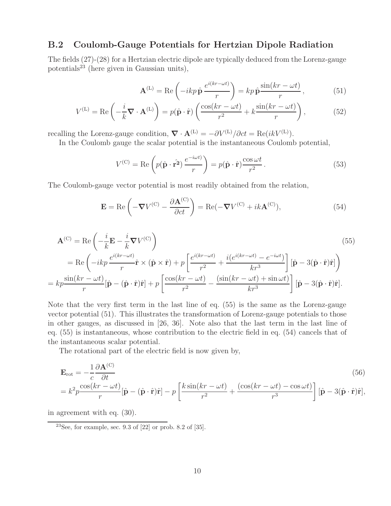#### **B.2 Coulomb-Gauge Potentials for Hertzian Dipole Radiation**

The fields (27)-(28) for a Hertzian electric dipole are typically deduced from the Lorenz-gauge potentials<sup>23</sup> (here given in Gaussian units),

$$
\mathbf{A}^{(\text{L})} = \text{Re}\left(-ikp\,\hat{\mathbf{p}}\,\frac{e^{i(kr-\omega t)}}{r}\right) = kp\,\hat{\mathbf{p}}\,\frac{\sin(kr-\omega t)}{r},\tag{51}
$$

$$
V^{(\text{L})} = \text{Re}\left(-\frac{i}{k}\nabla \cdot \mathbf{A}^{(\text{L})}\right) = p(\hat{\mathbf{p}} \cdot \hat{\mathbf{r}}) \left(\frac{\cos(kr - \omega t)}{r^2} + k\frac{\sin(kr - \omega t)}{r}\right),\tag{52}
$$

recalling the Lorenz-gauge condition,  $\nabla \cdot \mathbf{A}^{(L)} = -\partial V^{(L)}/\partial ct = \text{Re}(ikV^{(L)})$ .

In the Coulomb gauge the scalar potential is the instantaneous Coulomb potential,

$$
V^{(C)} = \text{Re}\left(p(\hat{\mathbf{p}} \cdot \hat{\mathbf{r}}^2) \frac{e^{-i\omega t}}{r}\right) = p(\hat{\mathbf{p}} \cdot \hat{\mathbf{r}}) \frac{\cos \omega t}{r^2}.
$$
 (53)

The Coulomb-gauge vector potential is most readily obtained from the relation,

$$
\mathbf{E} = \text{Re}\left(-\nabla V^{(C)} - \frac{\partial \mathbf{A}^{(C)}}{\partial ct}\right) = \text{Re}(-\nabla V^{(C)} + ik\mathbf{A}^{(C)}),\tag{54}
$$

$$
\mathbf{A}^{(C)} = \text{Re}\left(-\frac{i}{k}\mathbf{E} - \frac{i}{k}\nabla V^{(C)}\right)
$$
\n
$$
= \text{Re}\left(-ikp\frac{e^{i(kr-\omega t)}}{r}\hat{\mathbf{r}} \times (\hat{\mathbf{p}} \times \hat{\mathbf{r}}) + p\left[\frac{e^{i(kr-\omega t)}}{r^2} + \frac{i(e^{i(kr-\omega t)} - e^{-i\omega t})}{kr^3}\right] [\hat{\mathbf{p}} - 3(\hat{\mathbf{p}} \cdot \hat{\mathbf{r}})\hat{\mathbf{r}}] \right)
$$
\n
$$
= kp\frac{\sin(kr - \omega t)}{r} [\hat{\mathbf{p}} - (\hat{\mathbf{p}} \cdot \hat{\mathbf{r}})\hat{\mathbf{r}}] + p\left[\frac{\cos(kr - \omega t)}{r^2} - \frac{(\sin(kr - \omega t) + \sin \omega t)}{kr^3}\right] [\hat{\mathbf{p}} - 3(\hat{\mathbf{p}} \cdot \hat{\mathbf{r}})\hat{\mathbf{r}}].
$$
\n(55)

Note that the very first term in the last line of eq. (55) is the same as the Lorenz-gauge vector potential (51). This illustrates the transformation of Lorenz-gauge potentials to those in other gauges, as discussed in [26, 36]. Note also that the last term in the last line of eq. (55) is instantaneous, whose contribution to the electric field in eq. (54) cancels that of the instantaneous scalar potential.

The rotational part of the electric field is now given by,

$$
\mathbf{E}_{\rm rot} = -\frac{1}{c} \frac{\partial \mathbf{A}^{(\rm C)}}{\partial t} \n= k^2 p \frac{\cos(kr - \omega t)}{r} [\hat{\mathbf{p}} - (\hat{\mathbf{p}} \cdot \hat{\mathbf{r}}) \hat{\mathbf{r}}] - p \left[ \frac{k \sin(kr - \omega t)}{r^2} + \frac{(\cos(kr - \omega t) - \cos \omega t)}{r^3} \right] [\hat{\mathbf{p}} - 3(\hat{\mathbf{p}} \cdot \hat{\mathbf{r}}) \hat{\mathbf{r}}],
$$
\n(56)

in agreement with eq. (30).

<sup>23</sup>See, for example, sec. 9.3 of  $[22]$  or prob. 8.2 of  $[35]$ .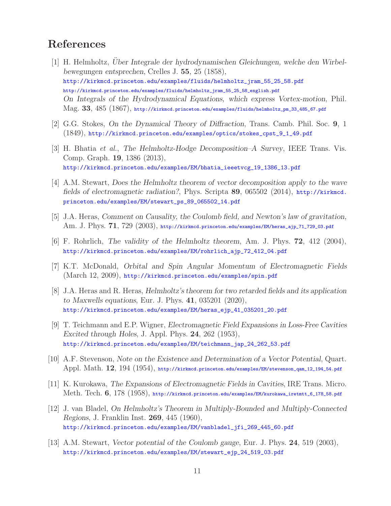## **References**

- [1] H. Helmholtz, *Uber Integrale der hydrodynamischen Gleichungen, welche den Wirbel- ¨ bewegungen entsprechen*, Crelles J. **55**, 25 (1858), http://kirkmcd.princeton.edu/examples/fluids/helmholtz\_jram\_55\_25\_58.pdf http://kirkmcd.princeton.edu/examples/fluids/helmholtz\_jram\_55\_25\_58\_english.pdf *On Integrals of the Hydrodynamical Equations, which express Vortex-motion*, Phil. Mag. **33**, 485 (1867), http://kirkmcd.princeton.edu/examples/fluids/helmholtz\_pm\_33\_485\_67.pdf
- [2] G.G. Stokes, *On the Dynamical Theory of Diffraction*, Trans. Camb. Phil. Soc. **9**, 1 (1849), http://kirkmcd.princeton.edu/examples/optics/stokes\_cpst\_9\_1\_49.pdf
- [3] H. Bhatia *et al.*, *The Helmholtz-Hodge Decomposition–A Survey*, IEEE Trans. Vis. Comp. Graph. **19**, 1386 (2013), http://kirkmcd.princeton.edu/examples/EM/bhatia\_ieeetvcg\_19\_1386\_13.pdf
- [4] A.M. Stewart, *Does the Helmholtz theorem of vector decomposition apply to the wave fields of electromagnetic radiation?*, Phys. Scripta **89**, 065502 (2014), http://kirkmcd. princeton.edu/examples/EM/stewart\_ps\_89\_065502\_14.pdf
- [5] J.A. Heras, *Comment on Causality, the Coulomb field, and Newton's law of gravitation,* Am. J. Phys. **71**, 729 (2003), http://kirkmcd.princeton.edu/examples/EM/heras\_ajp\_71\_729\_03.pdf
- [6] F. Rohrlich, *The validity of the Helmholtz theorem*, Am. J. Phys. **72**, 412 (2004), http://kirkmcd.princeton.edu/examples/EM/rohrlich\_ajp\_72\_412\_04.pdf
- [7] K.T. McDonald, *Orbital and Spin Angular Momentum of Electromagnetic Fields* (March 12, 2009), http://kirkmcd.princeton.edu/examples/spin.pdf
- [8] J.A. Heras and R. Heras, *Helmholtz's theorem for two retarded fields and its application to Maxwells equations*, Eur. J. Phys. **41**, 035201 (2020), http://kirkmcd.princeton.edu/examples/EM/heras\_ejp\_41\_035201\_20.pdf
- [9] T. Teichmann and E.P. Wigner, *Electromagnetic Field Expansions in Loss-Free Cavities Excited through Holes*, J. Appl. Phys. **24**, 262 (1953), http://kirkmcd.princeton.edu/examples/EM/teichmann\_jap\_24\_262\_53.pdf
- [10] A.F. Stevenson, *Note on the Existence and Determination of a Vector Potential*, Quart. Appl. Math. **12**, 194 (1954), http://kirkmcd.princeton.edu/examples/EM/stevenson\_qam\_12\_194\_54.pdf
- [11] K. Kurokawa, *The Expansions of Electromagnetic Fields in Cavities*, IRE Trans. Micro. Meth. Tech. **6**, 178 (1958), http://kirkmcd.princeton.edu/examples/EM/kurokawa\_iretmtt\_6\_178\_58.pdf
- [12] J. van Bladel, *On Helmholtz's Theorem in Multiply-Bounded and Multiply-Connected Regions*, J. Franklin Inst. **269**, 445 (1960), http://kirkmcd.princeton.edu/examples/EM/vanbladel\_jfi\_269\_445\_60.pdf
- [13] A.M. Stewart, *Vector potential of the Coulomb gauge*, Eur. J. Phys. **24**, 519 (2003), http://kirkmcd.princeton.edu/examples/EM/stewart\_ejp\_24\_519\_03.pdf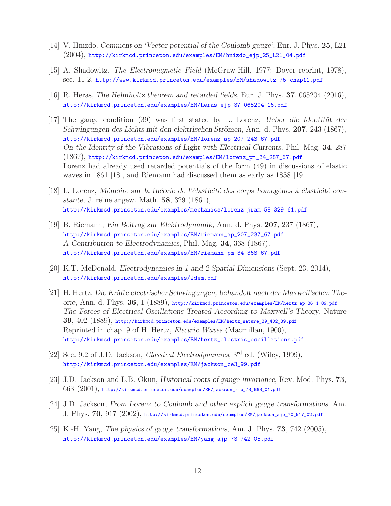- [14] V. Hnizdo, *Comment on 'Vector potential of the Coulomb gauge'*, Eur. J. Phys. **25**, L21 (2004), http://kirkmcd.princeton.edu/examples/EM/hnizdo\_ejp\_25\_L21\_04.pdf
- [15] A. Shadowitz, *The Electromagnetic Field* (McGraw-Hill, 1977; Dover reprint, 1978), sec. 11-2, http://www.kirkmcd.princeton.edu/examples/EM/shadowitz\_75\_chap11.pdf
- [16] R. Heras, *The Helmholtz theorem and retarded fields*, Eur. J. Phys. **37**, 065204 (2016), http://kirkmcd.princeton.edu/examples/EM/heras\_ejp\_37\_065204\_16.pdf
- [17] The gauge condition (39) was first stated by L. Lorenz, *Ueber die Identität der Schwingungen des Lichts mit den elektrischen Strömen, Ann. d. Phys. 207, 243 (1867),* http://kirkmcd.princeton.edu/examples/EM/lorenz\_ap\_207\_243\_67.pdf *On the Identity of the Vibrations of Light with Electrical Currents*, Phil. Mag. **34**, 287 (1867), http://kirkmcd.princeton.edu/examples/EM/lorenz\_pm\_34\_287\_67.pdf Lorenz had already used retarded potentials of the form (49) in discussions of elastic waves in 1861 [18], and Riemann had discussed them as early as 1858 [19].
- [18] L. Lorenz, *Mémoire sur la théorie de l'élasticité des corps homogènes à élasticité constante*, J. reine angew. Math. **58**, 329 (1861), http://kirkmcd.princeton.edu/examples/mechanics/lorenz\_jram\_58\_329\_61.pdf
- [19] B. Riemann, *Ein Beitrag zur Elektrodynamik*, Ann. d. Phys. **207**, 237 (1867), http://kirkmcd.princeton.edu/examples/EM/riemann\_ap\_207\_237\_67.pdf *A Contribution to Electrodynamics*, Phil. Mag. **34**, 368 (1867), http://kirkmcd.princeton.edu/examples/EM/riemann\_pm\_34\_368\_67.pdf
- [20] K.T. McDonald, *Electrodynamics in 1 and 2 Spatial Dimensions* (Sept. 23, 2014), http://kirkmcd.princeton.edu/examples/2dem.pdf
- [21] H. Hertz, *Die Kräfte electrischer Schwingungen, behandelt nach der Maxwell'schen Theorie*, Ann. d. Phys. **36**, 1 (1889), http://kirkmcd.princeton.edu/examples/EM/hertz\_ap\_36\_1\_89.pdf *The Forces of Electrical Oscillations Treated According to Maxwell's Theory*, Nature **39**, 402 (1889), http://kirkmcd.princeton.edu/examples/EM/hertz\_nature\_39\_402\_89.pdf Reprinted in chap. 9 of H. Hertz, *Electric Waves* (Macmillan, 1900), http://kirkmcd.princeton.edu/examples/EM/hertz\_electric\_oscillations.pdf
- [22] Sec. 9.2 of J.D. Jackson, *Classical Electrodynamics*, 3rd ed. (Wiley, 1999), http://kirkmcd.princeton.edu/examples/EM/jackson\_ce3\_99.pdf
- [23] J.D. Jackson and L.B. Okun, *Historical roots of gauge invariance*, Rev. Mod. Phys. **73**,  $663$   $(2001)$ , http://kirkmcd.princeton.edu/examples/EM/jackson\_rmp\_73\_663\_01.pdf
- [24] J.D. Jackson, *From Lorenz to Coulomb and other explicit gauge transformations*, Am. J. Phys. **70**, 917 (2002), http://kirkmcd.princeton.edu/examples/EM/jackson\_ajp\_70\_917\_02.pdf
- [25] K.-H. Yang, *The physics of gauge transformations*, Am. J. Phys. **73**, 742 (2005), http://kirkmcd.princeton.edu/examples/EM/yang\_ajp\_73\_742\_05.pdf